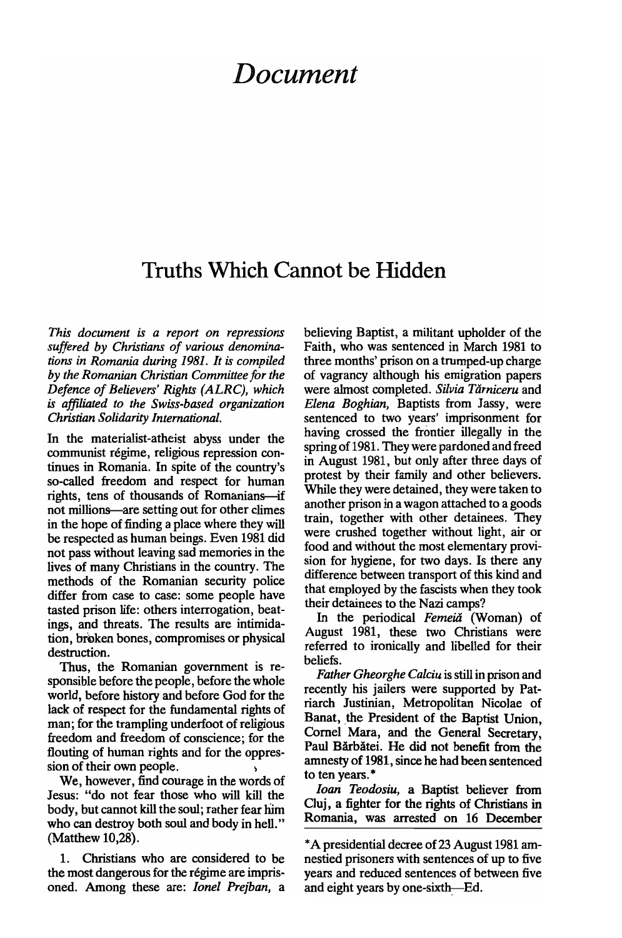## *Document*

## Truths Which Cannot be Hidden

*This document is a report on repressions suffered by Christians of various denominations in Romania during 1981. It is compiled by the Romanian Christian Committee for the Defence of Believers' Rights (ALRC), which is affiliated to the Swiss-based organization Christian Solidarity International.* 

In the materialist-atheist abyss under the communist regime, religious repression continues in Romania. In spite of the country's so-called freedom and respect for human rights, tens of thousands of Romanians--if not millions--are setting out for other climes in the hope of finding a place where they will be respected as human beings. Even 1981 did not pass without leaving sad memories in the lives of many Christians in the country. The methods of the Romanian security police differ from case to case: some people have tasted prison life: others interrogation, beatings, and threats. The results are intimidation, broken bones, compromises or physical destruction.

Thus, the Romanian government is responsible before the people, before the whole world, before history and before God for the lack of respect for the fundamental rights of man; for the trampling underfoot of religious freedom and freedom of conscience; for the flouting of human rights and for the oppression of their own people.

We, however, find courage in the words of Jesus: "do not fear those who will kill the body, but cannot kill the soul; rather fear him who can destroy both soul and body in hell." (Matthew 10,28).

1. Christians who are considered to be the most dangerous for the regime are imprisoned. Among these are: *lonel Prejban,* a believing Baptist, a militant upholder of the Faith, who was sentenced in March 1981 to three months' prison on a trumped-up charge of vagrancy although his emigration papers were almost completed. Silvia Tărniceru and *Elena Boghian,* Baptists from Jassy, were sentenced to two years' imprisonment for having crossed the frontier illegally in the spring of 1981. They were pardoned and freed in August 1981, but only after three days of protest by their family and other believers. While they were detained, they were taken to another prison in a wagon attached to a goods train, together with other detainees. They were crushed together without light, air or food and without the most elementary provision for hygiene, for two days. Is there any difference between transport of this kind and that employed by the fascists when they took their detainees to the Nazi camps?

In the periodical *Femeia* (Woman) of August 1981, these two Christians were referred to ironically and libelled for their beliefs.

*Father Gheorghe Calciu* is still in prison and recently his jailers were supported by Patriarch Justinian, Metropolitan Nicolae of Banat, the President of the Baptist Union, Cornel Mara, and the General Secretary Paul Bărbătei. He did not benefit from the . amnesty of 1981, since he had been sentenced to ten years. \*

*loan Teodosiu,* a Baptist believer from Cluj, a fighter for the rights of Christians in Romania, was arrested on 16 December

\* A presidential decree of 23 August 1981 amnestied prisoners with sentences of up to five years and reduced sentences of between five and eight years by one-sixth-Ed.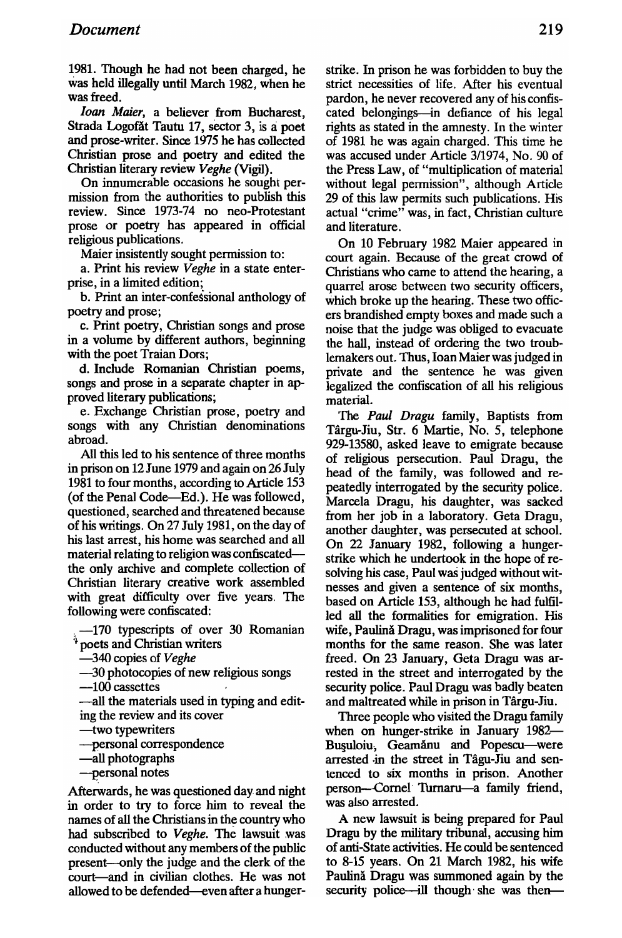1981. Though he had not been charged, he was held illegally until March 1982, when he was freed.

*loan Maier*, a believer from Bucharest, Strada Logofăt Tautu 17, sector 3, is a poet and prose-writer. Since 1975 he has collected Christian prose and poetry and edited the Christian literary review *Veghe* (Vigil).

On innumerable occasions he sought permission from the authorities to publish this review. Since 1973-74 no neo-Protestant prose or poetry has appeared in official religious publications.

Maier insistently sought permission to:

a. Print his review *Veghe* in a state enterprise, in a limited edition;

b. Print an inter-confessional anthology of poetry and prose;

c. Print poetry, Christian songs and prose in a volume by different authors, beginning with the poet Traian Dors;

d. Include Romanian Christian poems, songs and prose in a separate chapter in approved literary publications;

e. Exchange Christian prose, poetry and songs with any Christian denominations abroad.

All this led to his sentence of three months in prison on 12 June 1979 and again on 26 July 1981 to four months, according to Article 153 (of the Penal Code-Ed.). He was followed, questioned, searched and threatened because of his writings. On 27 July 1981, on the day of his last arrest, his home was searched and all material relating to religion was confiscatedthe only archive and complete collection of Christian literary creative work assembled with great difficulty over five years. The following were confiscated:

-170 typescripts of over 30 Romanian <sup>4</sup> poets and Christian writers

-340 copies of *Veghe* 

-30 photocopies of new religious songs

-100 cassettes

-all the materials used in typing and editing the review and its cover

- -two typewriters
- ---personal correspondence
- -all photographs
- -personal notes

Afterwards, he was questioned day and night in order to try to force him to reveal the names of all the Christians in the country who had subscribed to *Veghe*. The lawsuit was conducted without any members of the public present—only the judge and the clerk of the court-and in civilian clothes. He was not allowed to be defended--even after a hungerstrike. In prison he was forbidden to buy the strict necessities of life. After his eventual pardon, he never recovered any of his confiscated belongings-in defiance of his legal rights as stated in the amnesty. In the winter of 1981 he was again charged. This time he was accused under Article 3/1974, No. 90 of the Press Law, of "multiplication of material without legal permission", although Article 29 of this law permits such publications. His actual "crime" was, in fact, Christian culture and literature.

On 10 February 1982 Maier appeared in court again. Because of the great crowd of Christians who came to attend the hearing, a quarrel arose between two security officers, which broke up the hearing. These two officers brandished empty boxes and made such a noise that the judge was obliged to evacuate the hall, instead of ordering the two troublemakers out. Thus, loan Maier was judged in private and the sentence he was given legalized the confiscation of all his religious material.

The *Paul Dragu* family, Baptists from Târgu-Jiu, Str. 6 Martie, No. 5, telephone 929-13580, asked leave to emigrate because of religious persecution. Paul Dragu, the head of the family, was followed and repeatedly interrogated by the security police. Marcela Dragu, his daughter, was sacked from her job in a laboratory. Geta Dragu, another daughter, was persecuted at school. On 22 January 1982, following a hungerstrike which he undertook in the hope of resolving his case, Paul was judged without witnesses and given a sentence of six months, based on Article 153, although he had fulfilled all the formalities for emigration. His wife, Paulină Dragu, was imprisoned for four months for the same reason. She was later freed. On 23 January, Geta Dragu was arrested in the street and interrogated by the security police. Paul Dragu was badly beaten and maltreated while in prison in Târgu-Jiu.

Three people who visited the Dragu family when on hunger-strike in January 1982-Buşuloiu, Geamănu and Popescu-were arrested ·in the street in Tagu-Jiu and sentenced to six months in prison. Another person-Comel Tumaru-a family friend, was also arrested.

A new lawsuit is being prepared for Paul Dragu by the military tribunal, accusing him of anti-State activities. He could be sentenced to 8-15 years. On 21 March 1982, his wife Paulina Dragu was summoned again by the security police--ill though she was then--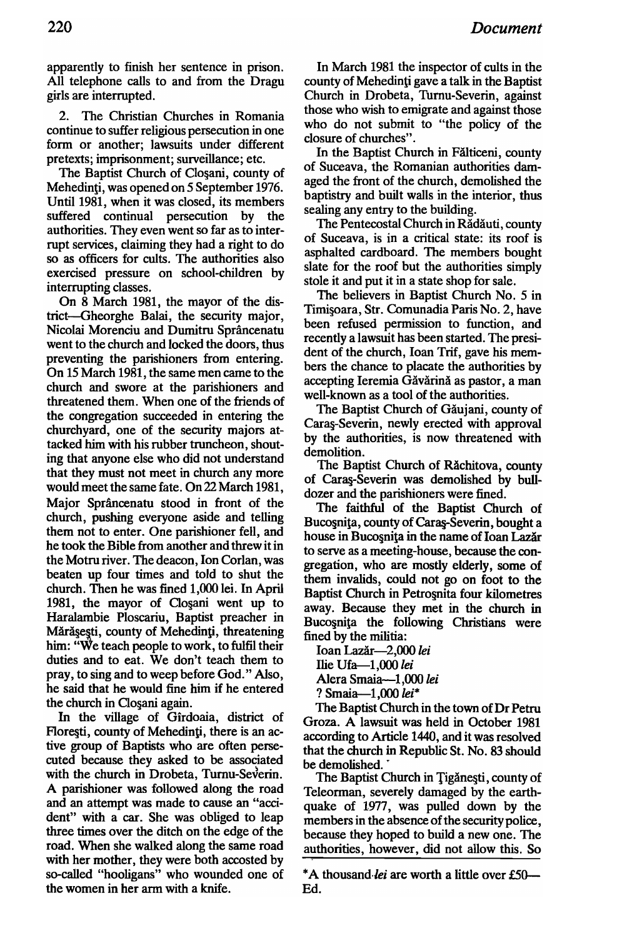apparently to finish her sentence in prison. All telephone calls to and from the Dragu girls are interrupted.

2. The Christian Churches in Romania continue to suffer religious persecution in one form or another; lawsuits under different pretexts; imprisonment; surveillance; etc.

The Baptist Church of Cloşani, county of Mehedinti, was opened on 5 September 1976. Until 1981, when it was closed, its members suffered continual persecution by the authorities. They even went so far as to interrupt services, claiming they had a right to do so as officers for cults. The authorities also exercised pressure on school-children by interrupting classes.

On 8 March 1981, the mayor of the district-Gheorghe Balai, the security major, Nicolai Morenciu and Dumitru Sprâncenatu went to the church and locked the doors, thus preventing the parishioners from entering. On 15 March 1981, the same men came to the church and swore at the parishioners and threatened them. When one of the friends of the congregation succeeded in entering the churchyard, one of the security majors attacked him with his rubber truncheon, shouting that anyone else who did not understand that they must not meet in church any more would meet the same fate. On 22 March 1981, Major Sprancenatu stood in front of the church, pushing everyone aside and telling them not to enter. One parishioner fell, and he took the Bible from another and threw it in the Motru river. The deacon, Ion Corlan, was beaten up four times and told to shut the church. Then he was fined 1,000 lei. In April 1981, the mayor of Closani went up to Haralambie Ploscariu, Baptist preacher in Mărășești, county of Mehedinți, threatening him: "We teach people to work, to fulfil their duties and to eat. We don't teach them to pray, to sing and to weep before God." Also, he said that he would fine him if he entered the church in Qo§ani again.

In the village of Girdoaia, district of Florești, county of Mehedinți, there is an active group of Baptists who are often persecuted because they asked to be associated with the church in Drobeta, Turnu-Severin. A parishioner was followed along the road and an attempt was made to cause an "accident" with a car. She was obliged to leap three times over the ditch on the edge of the road. When she walked along the same road with her mother, they were both accosted by so-called "hooligans" who wounded one of the women in her arm with a knife.

In March 1981 the inspector of cults in the county of Mehedinti gave a talk in the Baptist Church in Drobeta, Turnu-Severin, against those who wish to emigrate and against those who do not submit to "the policy of the closure of churches".

In the Baptist Church in Fălticeni, county of Suceava, the Romanian authorities damaged the front of the church, demolished the baptistry and built walls in the interior, thus sealing any entry to the building.

The Pentecostal Church in Rădăuti, county of Suceava, is in a critical state: its roof is asphalted cardboard. The members bought slate for the roof but the authorities simply stole it and put it in a state shop for sale.

The believers in Baptist Church No. 5 in Timi§oara, Str. Comunadia Paris No. 2, have been refused pennission to function, and recently a lawsuit has been started. The president of the church, loan Trif, gave his members the chance to placate the authorities by accepting Ieremia Găvărină as pastor, a man well-known as a tool of the authorities.

The Baptist Church of Găujani, county of Caraş-Severin, newly erected with approval by the authorities, is now threatened With demolition.

The Baptist Church of Răchitova, county of Cara§-Severin was demolished by bulldozer and the parishioners were fined.

The faithful of the Baptist Church of Bucoşnita, county of Caraş-Severin, bought a house in Bucosnita in the name of Ioan Lazăr to serve as a meeting-house, because the congregation, who are mostly elderly, some of them invalids, could not go on foot to the Baptist Church in Petro§nita four kilometres away. Because they met in the church in Bucosnita the following Christians were fined by the militia:

loan Lazar-2,000 *lei*  Ilie Ufa-1,000 *lei* 

Alera Smaia-1,000 *lei* 

? Smaia-1,boo *lei\** 

The Baptist Church in the town of Dr Petru Groza. A lawsuit was held in October 1981 according to Article 1440, and it was resolved that the church in Republic St. No. 83 should be demolished.

The Baptist Church in Tigăneşti, county of Teleorman, severely damaged by the earthquake of 1977, was pulled down by the members in the absence of the secunty police, because they hoped to build a new one. The authorities, however, did not allow this. So

\* A *thousand·lei* are worth a little over £50- Ed.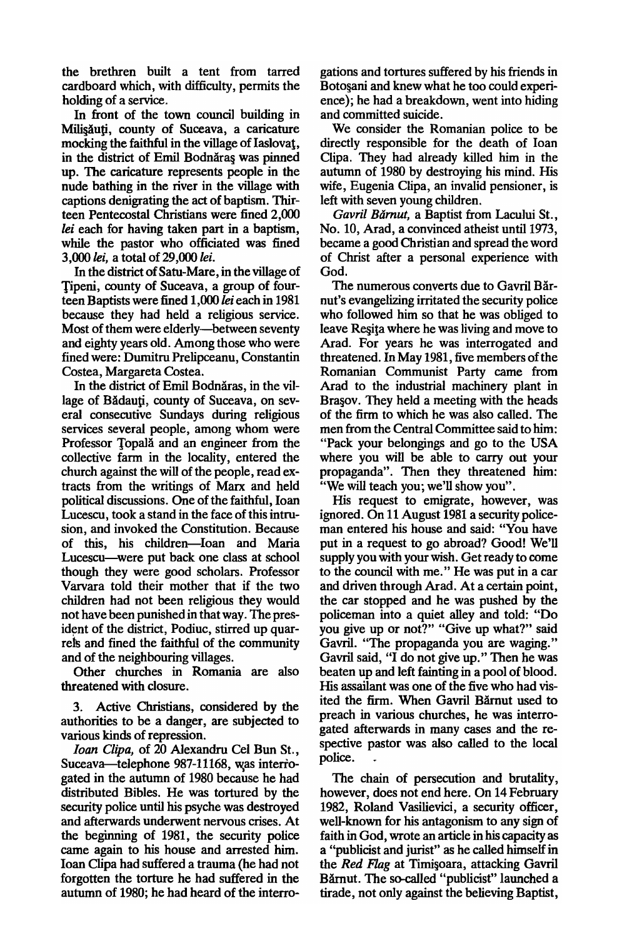the brethren built a tent from tarred cardboard which, with difficulty, permits the holding of a service.

In front of the town council building in Milisăuți, county of Suceava, a caricature mocking the faithful in the village of Iaslovat, in the district of Emil Bodnăras was pinned up. The caricature represents people in the nude bathing in the river in the village with captions denigrating the act of baptism. Thirteen Pentecostal Christians were fined 2,000 *lei* each for having taken part in a baptism, while the pastor who officiated was fined 3,000 lei, a total of 29,000 lei.

In the district of Satu-Mare, in the village of Tipeni, county of Suceava, a group of fourteen Baptists were fined 1,000 *lei* each in 1981 because they had held a religious service. Most of them were elderly-between seventy and eighty years old. Among those who were fined were: Dumitru Prelipceanu, Constantin Costea, Margareta Costea.

In the district of Emil Bodnaras, in the village of Bădauți, county of Suceava, on several consecutive Sundays during religious services several people, among whom were Professor Topală and an engineer from the collective farm in the locality, entered the church against the will of the people, read extracts from the writings of Marx and held political discussions. One of the faithful, Ioan Lucescu, took a stand in the face of this intrusion, and invoked the Constitution. Because of this, his children-Ioan and Maria Lucescu-were put back one class at school though they were good scholars. Professor Varvara told their mother that if the two. children had not been religious they would not have been punished in that way. The president of the district, Podiuc, stirred up quarrels and fined the faithful of the community and of the neighbouring villages.

Other churches in Romania are also threatened with closure.

3. Active Christians, considered by the authorities to be a danger, are subjected to. various kinds of repression.

*loan Clipa,* of 20 Alexandru Cel Bun St., Suceava-telephone 987-11168, was interrogated in the autumn of 1980 because he had distributed Bibles. He was tortured by the security police until his psyche was destroyed and afterwards underwent nervous crises. At the beginning of 1981, the security police came again to his house and arrested him. loan Clipa had suffered a trauma (he had not forgotten the torture he had suffered in the autumn of 1980; he had heard of the interrogations and tortures suffered by his friends in Botoşani and knew what he too could experience); he had a breakdown, went into hiding and committed suicide.

We consider the Romanian police to be directly responsible for the death of loan Clipa. They had already killed him in the autumn of 1980 by destroying his mind. His wife, Eugenia Clipa, an invalid pensioner, is left with seven young children.

*Gavril Biimut,* a Baptist from Lacului St., No. 10, Arad, a convinced atheist until 1973, became a good Christian and spread the word of Christ after a personal experience with God.

The numerous converts due to Gavril Bărnut's evangelizing irritated the security police who followed him so that he was obliged to. leave Resita where he was living and move to Arad. For years he was interrogated and threatened. In May 1981, five members of the Romanian Communist Party came from Arad to the industrial machinery plant in Bra§ov. They held a meeting with the heads of the firm to which he was also called. The men from the Central Committee said to him: "Pack your belongings and go to the USA where you will be able to carry out your propaganda". Then they threatened him: "We will teach you; we'll show you".

His request to emigrate, however, was ignored. On 11 August 1981 a security policeman entered his house and said: "You have put in a request to go abroad? Good! We'll supply you with your wish. Get ready to come to the council with me." He was put in a car and driven through Arad. At a certain point, the car stopped and he was pushed by the policeman into a quiet alley and told: "Do you give up or not?" "Give up what?" said Gavril. "The propaganda you are waging." Gavril said, "I do not give up." Then he was beaten up and left fainting in a pool of blood. His assailant was one of the five who had visited the firm. When Gavril Bărnut used to preach in various churches, he was interrogated afterwards in many cases and the respective pastor was also called to the local police.

The chain of persecution and brutality, however, does not end here. On 14 February 1982, Roland Vasilievici, a security officer, well-known for his antagonism to any sign of faith in God, wrote an article in his capacity as a "publicist and jurist" as he called himself in the *Red Flag* at Timi§Qara, attacking Gavril Bărnut. The so-called "publicist" launched a tirade, not only against the believing Baptist,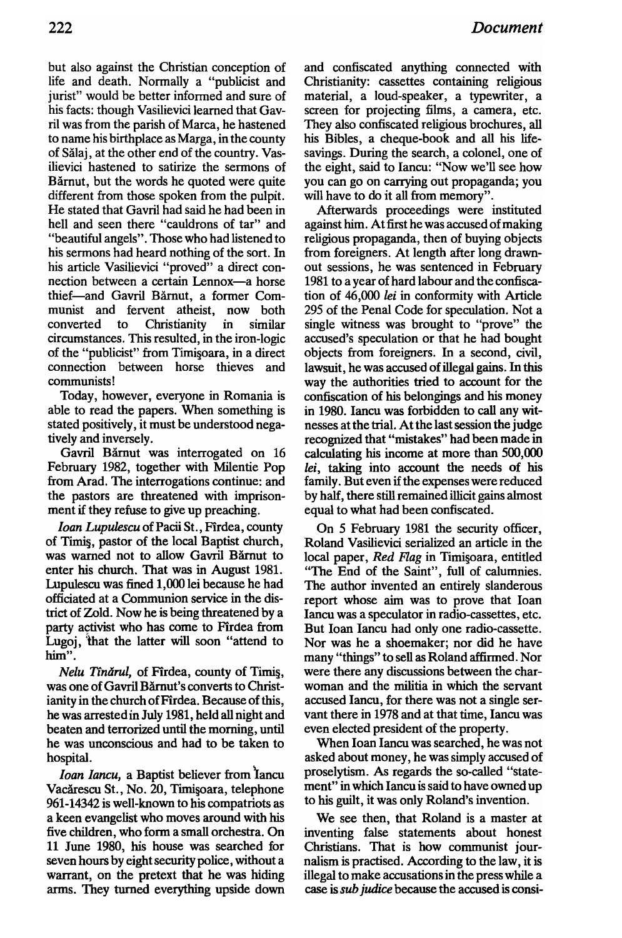but also against the Christian conception of life and death. Normally a "publicist and jurist" would be better infonned and sure of his facts: though Vasilievici learned that Gavril was from the parish of Marca, he hastened to name his birthplace as Marga, in the county of Sălaj, at the other end of the country. Vasilievici hastened to satirize the sennons of Bărnut, but the words he quoted were quite different from those spoken from the pulpit. He stated that Gavril had said he had been in hell and seen there "cauldrons of tar" and "beautiful angels". Those who had listened to his sermons had heard nothing of the sort. In his article Vasilievici "proved" a direct connection between a certain Lennox-a horse thief-and Gavril Bărnut, a former Communist and fervent atheist, now both converted to Christianity in similar circumstances. This resulted, in the iron-logic of the "publicist" from Timi§oara, in a direct connection between horse thieves and communists!

Today, however, everyone in Romania is able to read the papers. When something is stated positively, it must be understood negatively and inversely.

Gavril Bărnut was interrogated on 16 February 1982, together with Milentie Pop from Arad. The interrogations continue: and the pastors are threatened with imprisonment if they refuse to give up preaching.

*loan Lupulescu* of Pacii St., Firdea, county of Timi§, pastor of the local Baptist church, was warned not to allow Gavril Bărnut to enter his church. That was in August 1981. Lupulescu was fined 1,000 lei because he had officiated at a Communion service in the district of Zold. Now he is being threatened by a party activist who has come to Firdea from Lugoj, 'that the latter will soon "attend to him".

*. Nelu Tfnarul,* of Firdea, county of Timi§, was one of Gavril Bărnut's converts to Christianity in the church of Firdea. Because of this, he was arrested in July 1981, held all night and beaten and terrorized until the morning, until he was unconscious and had to be taken to hospital.

*loan laneu,* a Baptist believer from Iancu Vacărescu St., No. 20, Timișoara, telephone 961-14342 is well-known to his compatriots as a keen evangelist who moves around with his five children, who fonn a small orchestra. On 11 June 1980, his house was searched for seven hours by eight security police , without a warrant, on the pretext that he was hiding arms. They turned everything upside down

and confiscated anything connected with Christianity: cassettes containing religious material, a loud-speaker, a typewriter, a screen for projecting films, a camera, etc. They also confiscated religious brochures, all his Bibles, a cheque-book and all his lifesavings. During the search, a colonel, one of the eight, said to Iancu: "Now we'll see how you can go on carrying out propaganda; you will have to do it all from memory".

Afterwards proceedings were instituted against him. At first he was accused of making religious propaganda, then of buying objects from foreigners. At length after long drawnout sessions, he was sentenced in February 1981 to a year of hard labour and the confiscation of 46,000 *lei* in conformity with Article 295 of the Penal Code for speculation. Not a single witness was brought to "prove" the accused's speculation or that he had bought objects from foreigners. In a second, civil, lawsuit, he was accused of illegal gains. In this way the authorities tried to account for the confiscation of his belongings and his money in 1980. lancu was forbidden to call any witnesses at the trial. At the last session the judge recognized that "mistakes" had been made in calculating his income at more than 500,000 *lei,* taking into account the needs of his family. But even if the expenses were reduced by half, there stilI remained illicit gains almost equal to what had been confiscated.

On 5 February 1981 the security officer, Roland Vasilievici serialized an article in the local paper, Red Flag in Timişoara, entitled "The End of the Saint", full of calumnies. The author invented an entirely slanderous report whose aim was to prove that loan Iancu was a speculator in radio-cassettes, etc. But loan lancu had only one radio-cassette. Nor was he a shoemaker; nor did he have many "things" to sell as Roland affirmed. Nor were there any discussions between the charwoman and the militia in which the servant accused lancu, for there was not a single servant there in 1978 and at that time, lancu was even elected president of the property.

When loan lancu was searched, he was not asked about money, he was simply accused of proselytism. As regards the so-called "statement" in which lancu is said to have owned up to his guilt, it was only Roland's invention.

We see then, that Roland is a master at inventing false statements about honest Christians. That is how communist journalism is practised. According to the law, it is illegal to make accusations in the press while a case is *sub judice* because the accused is consi-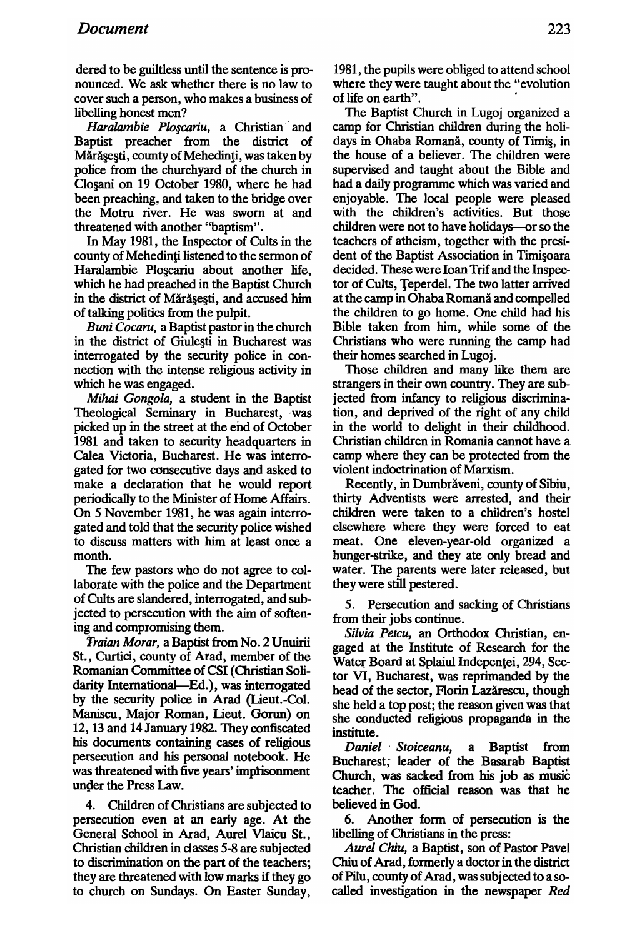dered to be guiltless until the sentence is pronounced. We ask whether there is no law to cover such a person, who makes a business of libelling honest men?

*Haralambie Plo§cariu,* a Christian and Baptist preacher from the district of Mărăsești, county of Mehedinți, was taken by police from the churchyard of the church in Clo§ani on 19 October 1980, where he had been preaching, and taken to the bridge over the Motru river. He was sworn at and threatened with another "baptism".

In May 1981, the Inspector of Cults in the county of Mehedinti listened to the sermon of Haralambie Plo§cariu about another life, which he had preached in the Baptist Church in the district of Mărășești, and accused him of talking politics from the pulpit.

*Buni Cocaru,* a Baptist pastor in the church in the district of Giule§ti in Bucharest was interrogated by the security police in connection with the intense religious activity in which he was engaged.

*Mihai Gongola,* a student in the Baptist Theological Seminary in Bucharest, was picked up in the street at the end of October 1981 and taken to security headquarters in Calea Victoria, Bucharest. He was interrogated for two consecutive days and asked to make a declaration that he would report periodically to the Minister of Home Affairs. On 5 November 1981, he was again interrogated and told that the security police wished to discuss matters with him at least once a month.

The few pastors who do not agree to collaborate with the police and the Department of Cults are slandered, interrogated, and subjected to persecution with the aim of softening and compromising them.

*Traian Morar,* a Baptist from No. 2 Unuirii St., Curtici, county of Arad, member of the Romanian Committee of CSI (Christian Solidarity International-Ed.), was interrogated by the security police in Arad (Lieut.-Col. Maniscu, Major Roman, Lieut. Gorun) on 12, 13 and 14 January 1982. They confiscated his documents containing cases of religious persecution and his personal notebook. He was threatened with five years' imprisonment under the Press Law.

4. Children of Christians are subjected to persecution even at an early age. At the General School in Arad, Aurel VIaicu St., Christian children in classes 5-8 are subjected to discrimination on the part of the teachers; they are threatened with low marks if they go to church on Sundays. On Easter Sunday,

1981, the pupils were obliged to attend school where they were taught about the "evolution of life on earth". .

The Baptist Church in Lugoj organized a camp for Christian children during the holidays in Ohaba Romana, county of Timi§, in the house of a believer. The children were supervised and taught about the Bible and had a daily programme which was varied and enjoyable. The local people were pleased with the children's activities. But those children were not to have holidays---or so the teachers of atheism, together with the president of the Baptist Association in Timişoara decided. These were loan Trif and the Inspector of Cults, Teperdel. The two latter arrived at the camp in Ohaba Romană and compelled the children to go home. One child had his Bible taken from him, while some of the Christians who were running the camp had their homes searched in Lugoj.

Those children and many like them are strangers in their own country. They are subjected from infancy to religious discrimination, and deprived of the right of any child in the world to delight in their childhood. Christian children in Romania cannot have a camp where they can be protected from the violent indoctrination of Marxism.

Recently, in Dumbrăveni, county of Sibiu, thirty Adventists were arrested, and their children were taken to a children's hostel elsewhere where they were forced to eat meat. One eleven-year-old organized a hunger-strike, and they ate only bread and water. The parents were later released, but they were still pestered.

5. Persecution and sacking of Christians from their jobs continue.

*Si/via Petcu,* an Orthodox Christian, engaged at the Institute of Research for the Water Board at Splaiul Indepentei, 294, Sector VI, Bucharest, was reprimanded by the head of the sector, Florin Lazărescu, though she held a top post; the reason given was that she conducted religious propaganda in the institute.

*Daniel* . *Stoiceanu,* a Baptist from Bucharest; leader of the Basarab Baptist Church, was sacked from his job as music teacher. The official reason was that he believed in God.

6. Another form of persecution is the libelling of Christians in the press:

*Aurel Chiu,* a Baptist, son of Pastor Pavel Chiu of Arad, formerly a doctor in the district of Pilu, county of Arad, was subjected to a socalled investigation in the newspaper *Red*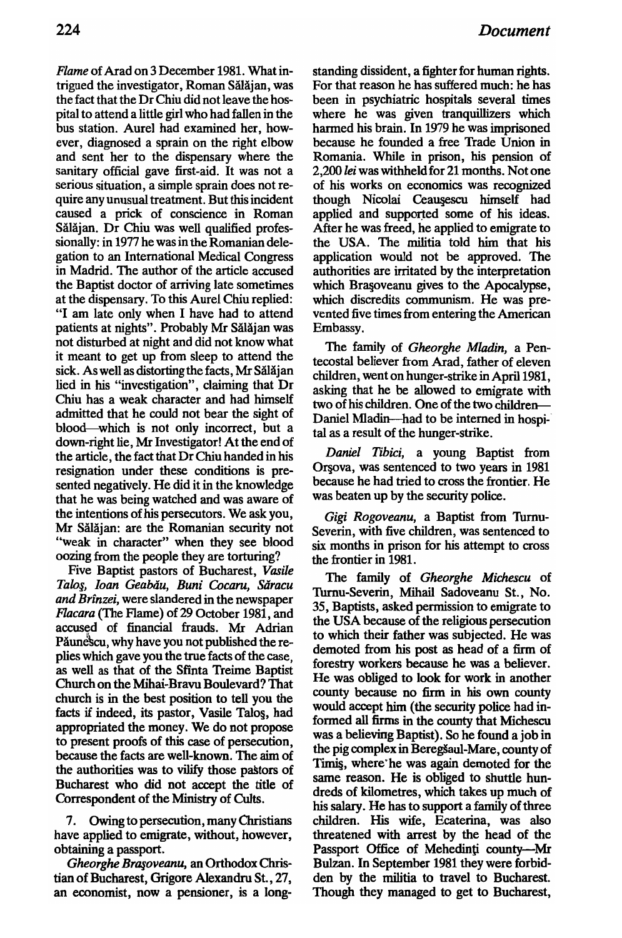*Flame* of Arad on 3 December 1981. What intrigued the investigator, Roman Sălăjan, was the fact that the Dr Chiu did not leave the hospital to attend a little girl who had fallen in the bus station. Aurel had examined her, however, diagnosed a sprain on the right elbow and sent her to the dispensary where the sanitary official gave first-aid. It was not a serious situation, a simple sprain does not require any unusual treatment. But this incident caused a prick of conscience in Roman Sălăjan. Dr Chiu was well qualified professionally: in 1977 he was in the Romanian delegation to an International Medical Congress in Madrid. The author of the article accused the Baptist doctor of arriving late sometimes at the dispensary. To this Aurel Chiu replied: "I am late only when 1 have had to attend patients at nights". Probably Mr Sălăjan was not disturbed at night and did not know what it meant to get up from sleep to attend the sick. As well as distorting the facts, Mr Sălăjan lied in his "investigation", claiming that Dr Chiu has a weak character and had himself admitted that he could not bear the sight of blood-which is not only incorrect, but a down-right lie, Mr Investigator! At the end of the article, the fact that Dr Chiu handed in his resignation under these conditions is presented negatively. He did it in the knowledge that he was being watched and was aware of the intentions of his persecutors. We ask you, Mr Sălăjan: are the Romanian security not "weak in character" when they see blood oozing from the people they are torturing?

Five Baptist pastors of Bucharest, *Vasile Talo§, loan Geabiiu, Buni Cocaru, Siiracu and Brinzei,* were slandered in the newspaper *Flacara* (The Flame) of 29 October 1981, and accused of financial frauds. Mr Adrian Păunescu, why have you not published the replies which gave you the true facts of the case, as well as that of the Sfinta Treime Baptist Church on the Mihai~Bravu Boulevard? That church is in the best position to tell you the facts if indeed, its pastor, Vasile Talos, had appropriated the money. We do not propose to present proofs of this case of persecution, because the facts are well-known. The aim of . the authorities was to vilify those paStors of Bucharest who did not accept the title of Correspondent of the Ministry of Cults.

7. Owing to persecution, many Christians have applied to emigrate, without, however, obtaining a passport.

*Gheorghe BrQ§oveanu,* an Orthodox Christian of Bucharest, Grigore AIexandru St., 27, an economist, now a pensioner, is a long-

standing dissident, a fighter for human rights. For that reason he has suffered much: he has been in psychiatric hospitals several times where he was given tranquillizers which harmed his brain. In 1979 he was imprisoned because he founded a free Trade Union in Romania. While in prison, his pension of *2,200 lei* was withheld for 21 months. Not one of his works on economics was recognized though Nicolai Ceausescu himself had applied and supported some of his ideas. After he was freed, he applied to emigrate to the USA. The militia told him that his application would not be approved. The authorities are irritated by the interpretation which Brasoveanu gives to the Apocalypse, which discredits communism. He was prevented five times from entering the American Embassy.

The family of *Gheorghe Mladin,* a Pentecostal believer from Arad, father of eleven children, went on hunger-strike in April 1981, asking that he be allowed to emigrate with two of his children. One of the two children--Daniel Mladin--had to be interned in hospital as a result of the hunger-strike.

*Daniel Tibici,* a young Baptist from Orşova, was sentenced to two years in 1981 because he had tried to cross the frontier. He was beaten up by the security police.

*Gigi Rogoveanu,* a Baptist from Turnu-Severin, with five children, Was sentenced to six months in prison for his attempt to cross the frontier in 1981.

The family of *Gheorghe Michescu* of Turnu-Severin, Mihail Sadoveanu St., No. 35, Baptists, asked permission to emigrate to the USA because of the religious persecution to which their father was subjected. He was demoted from his post as head of a firm of forestry workers because he was a believer. He was obliged to look for work in another county because no firm in his own county would accept him (the security police had informed all firms in the county that Michescu was a believing Baptist). So he found a job in the pig complex in BeregSaul-Mare, county of Timi§, where"he was again demoted for the same reason. He is obliged to shuttle hundreds of kilometres, which takes up much of his salary. He has to support a family of three children. His wife, Ecaterina, was also threatened with arrest by the head of the Passport Office of Mehedinti county--- Mr Bulzan. In September 1981 they were forbidden by the militia to travel to Bucharest. Though they managed to get to Bucharest,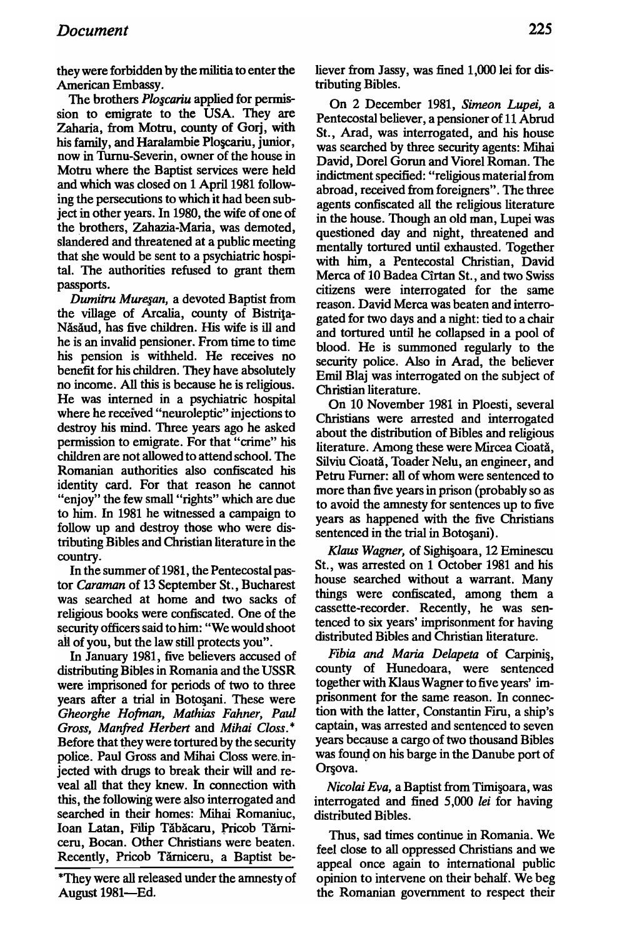they were forbidden by the militia to enter the American Embassy.

The brothers *Ploscariu* applied for permission to emigrate to the USA. They are Zaharia, from Motru, county of Gorj, with his family, and Haralambie Ploscariu, junior, now in Turnu-Severin, owner of the house in Motru where the Baptist services were held and which was closed on 1 April 1981 following the persecutions to which it had been subject in other years. In 1980, the wife of one of the brothers, Zahazia-Maria, was demoted, slandered and threatened at a public meeting that she would be sent to a psychiatric hospital. The authorities refused to grant them passports. .

*Dumitru Muresan, a devoted Baptist from* the village of Arcalia, county of Bistrita-Năsăud, has five children. His wife is ill and he is an invalid pensioner. From time to time his pension is withheld. He receives no benefit for his children. They have absolutely no income. All this is because he is religious. He was interned in a psychiatric hospital where he received "neuroleptic" injections to destroy his mind. Three years ago he asked permission to emigrate. For that "crime" his children are not allowed to attend school. The Romanian authorities also confiscated his identity card. For that reason he cannot "enjoy" the few small "rights" which are due to him. In 1981 he witnessed a campaign to follow up and destroy those who were distributing Bibles and Christian literature in the country.

In the summer of 1981, the Pentecostal pastor *Caraman* of 13 September St., Bucharest was searched at home and two sacks of religious books were confiscated. One of the security officers said to him: "We would shoot ail of you, but the law still protects you".

In January 1981, five believers accused of distributing Bibles in Romania and the USSR were imprisoned for periods of two to three years after a trial in Boto§ani. These were *Gheorghe Hofman, Mathias Fahner, Paul Gross, Manfred Herbert* and *Mihai Closs*.\* Before that they were tortured by the secunty police. Paul Gross and Mihai Closs were.injected with drugs to break their will and reveal all that they knew. In connection with this, the following were also interrogated and searched in their homes: Mihai Romaniuc, Ioan Latan, Filip Tăbăcaru, Pricob Tărniceru, Bocan. Other Christians were beaten. Recently, Pricob Tărniceru, a Baptist believer from Jassy, was fined 1,000 lei for distributing Bibles.

On 2 December 1981, *Simeon Lupei,* a Pentecostal believer, a pensioner of 11 Abrud St., Arad, was interrogated, and his house was searched by three security agents: Mihai David, Dorel Gorun and Viorel Roman. The indictment specified: "religious material from abroad, received from foreigners". The three agents confiscated all the religious literature in the house. Though an old man, Lupei was questioned day and night, threatened and mentally tortured until exhausted. Together with him, a Pentecostal Christian, David Merca of 10 Badea Cîrtan St., and two Swiss citizens were interrogated for the same reason. David Merca was beaten and interrogated for two days and a night: tied to a chair and tortured until he collapsed in a pool of blood. He is summoned regularly to the security police. Also in Arad, the believer EmiI Blaj was interrogated on the subject of Christian literature.

On 10 November 1981 in Ploesti, several Christians were arrested and interrogated about the distribution of Bibles and religious literature. Among these were Mircea Cioată, Silviu Cioată, Toader Nelu, an engineer, and Petru Furner: all of whom were sentenced to more than five years in prison (probably so as to avoid the amnesty for sentences up to five years as happened with the five Christians sentenced in the trial in Botosani).

*Klaus Wagner,* of Sighi§oara, 12 Eminescu St., was arrested on 1 October 1981 and his house searched without a warrant. Many things were confiscated, among them a cassette-recorder. Recently, he was sentenced to six years' imprisonment for having distributed Bibles and Christian literature.

*Fibia and Maria Delapeta* of Carpini§, county of Hunedoara, were sentenced together with K1aus Wagner to five years' imprisonment for the same reason. In connection with the latter, Constantin Firu, a ship's captain, was arrested and sentenced to seven years because a cargo of two thousand Bibles was found on his barge in the Danube port of<br>Orsova.

*Nicolai Eva,* a Baptist from Timi§oara, was interrogated and fined 5,000 *lei* for having distributed Bibles.

Thus, sad times continue in Romania. We feel close to all oppressed Christians and we appeal once again to international public opinion to intervene on their behalf. We beg. the Romanian government to respect their

<sup>&#</sup>x27;They were all released under the amnesty of August 1981-Ed.